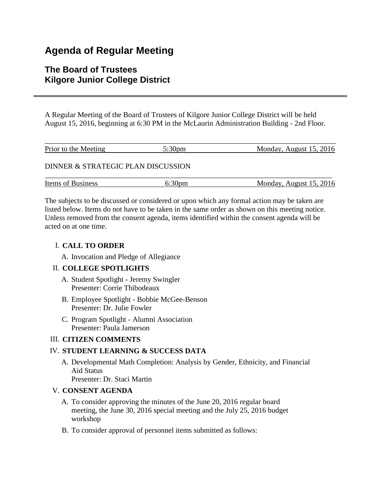# **Agenda of Regular Meeting**

## **The Board of Trustees Kilgore Junior College District**

A Regular Meeting of the Board of Trustees of Kilgore Junior College District will be held August 15, 2016, beginning at 6:30 PM in the McLaurin Administration Building - 2nd Floor.

| Prior to the Meeting               | 5:30 <sub>pm</sub> | Monday, August 15, 2016 |
|------------------------------------|--------------------|-------------------------|
| DINNER & STRATEGIC PLAN DISCUSSION |                    |                         |
| <b>Items of Business</b>           | 6:30 <sub>pm</sub> | Monday, August 15, 2016 |

The subjects to be discussed or considered or upon which any formal action may be taken are listed below. Items do not have to be taken in the same order as shown on this meeting notice. Unless removed from the consent agenda, items identified within the consent agenda will be acted on at one time.

## I. **CALL TO ORDER**

A. Invocation and Pledge of Allegiance

## II. **COLLEGE SPOTLIGHTS**

- A. Student Spotlight Jeremy Swingler Presenter: Corrie Thibodeaux
- B. Employee Spotlight Bobbie McGee-Benson Presenter: Dr. Julie Fowler
- C. Program Spotlight Alumni Association Presenter: Paula Jamerson

## III. **CITIZEN COMMENTS**

## IV. **STUDENT LEARNING & SUCCESS DATA**

A. Developmental Math Completion: Analysis by Gender, Ethnicity, and Financial Aid Status Presenter: Dr. Staci Martin

## V. **CONSENT AGENDA**

- A. To consider approving the minutes of the June 20, 2016 regular board meeting, the June 30, 2016 special meeting and the July 25, 2016 budget workshop
- B. To consider approval of personnel items submitted as follows: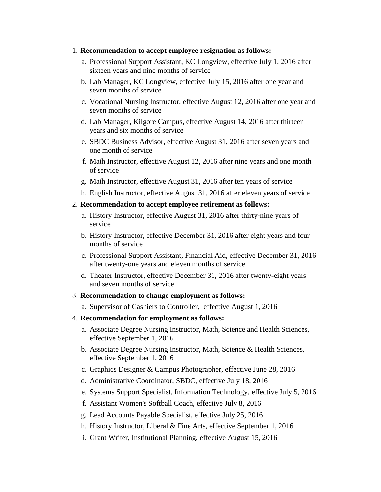#### 1. **Recommendation to accept employee resignation as follows:**

- a. Professional Support Assistant, KC Longview, effective July 1, 2016 after sixteen years and nine months of service
- b. Lab Manager, KC Longview, effective July 15, 2016 after one year and seven months of service
- c. Vocational Nursing Instructor, effective August 12, 2016 after one year and seven months of service
- d. Lab Manager, Kilgore Campus, effective August 14, 2016 after thirteen years and six months of service
- e. SBDC Business Advisor, effective August 31, 2016 after seven years and one month of service
- f. Math Instructor, effective August 12, 2016 after nine years and one month of service
- g. Math Instructor, effective August 31, 2016 after ten years of service
- h. English Instructor, effective August 31, 2016 after eleven years of service
- 2. **Recommendation to accept employee retirement as follows:**
	- a. History Instructor, effective August 31, 2016 after thirty-nine years of service
	- b. History Instructor, effective December 31, 2016 after eight years and four months of service
	- c. Professional Support Assistant, Financial Aid, effective December 31, 2016 after twenty-one years and eleven months of service
	- d. Theater Instructor, effective December 31, 2016 after twenty-eight years and seven months of service
- 3. **Recommendation to change employment as follows:**
	- a. Supervisor of Cashiers to Controller, effective August 1, 2016
- 4. **Recommendation for employment as follows:**
	- a. Associate Degree Nursing Instructor, Math, Science and Health Sciences, effective September 1, 2016
	- b. Associate Degree Nursing Instructor, Math, Science & Health Sciences, effective September 1, 2016
	- c. Graphics Designer & Campus Photographer, effective June 28, 2016
	- d. Administrative Coordinator, SBDC, effective July 18, 2016
	- e. Systems Support Specialist, Information Technology, effective July 5, 2016
	- f. Assistant Women's Softball Coach, effective July 8, 2016
	- g. Lead Accounts Payable Specialist, effective July 25, 2016
	- h. History Instructor, Liberal & Fine Arts, effective September 1, 2016
	- i. Grant Writer, Institutional Planning, effective August 15, 2016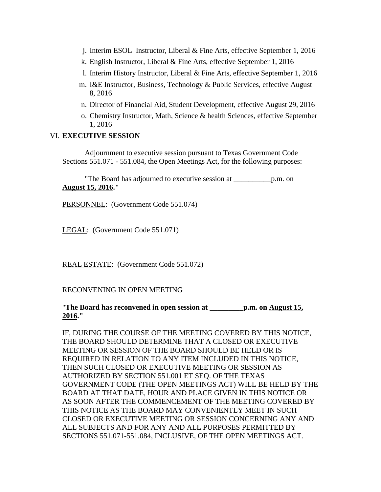- j. Interim ESOL Instructor, Liberal & Fine Arts, effective September 1, 2016
- k. English Instructor, Liberal & Fine Arts, effective September 1, 2016
- l. Interim History Instructor, Liberal & Fine Arts, effective September 1, 2016
- m. I&E Instructor, Business, Technology & Public Services, effective August 8, 2016
- n. Director of Financial Aid, Student Development, effective August 29, 2016
- o. Chemistry Instructor, Math, Science & health Sciences, effective September 1, 2016

#### VI. **EXECUTIVE SESSION**

 Adjournment to executive session pursuant to Texas Government Code Sections 551.071 - 551.084, the Open Meetings Act, for the following purposes:

 "The Board has adjourned to executive session at \_\_\_\_\_\_\_\_\_\_p.m. on **August 15, 2016."**

PERSONNEL: (Government Code 551.074)

LEGAL: (Government Code 551.071)

REAL ESTATE: (Government Code 551.072)

#### RECONVENING IN OPEN MEETING

"**The Board has reconvened in open session at \_\_\_\_\_\_\_\_\_p.m. on August 15, 2016."**

IF, DURING THE COURSE OF THE MEETING COVERED BY THIS NOTICE, THE BOARD SHOULD DETERMINE THAT A CLOSED OR EXECUTIVE MEETING OR SESSION OF THE BOARD SHOULD BE HELD OR IS REQUIRED IN RELATION TO ANY ITEM INCLUDED IN THIS NOTICE, THEN SUCH CLOSED OR EXECUTIVE MEETING OR SESSION AS AUTHORIZED BY SECTION 551.001 ET SEQ. OF THE TEXAS GOVERNMENT CODE (THE OPEN MEETINGS ACT) WILL BE HELD BY THE BOARD AT THAT DATE, HOUR AND PLACE GIVEN IN THIS NOTICE OR AS SOON AFTER THE COMMENCEMENT OF THE MEETING COVERED BY THIS NOTICE AS THE BOARD MAY CONVENIENTLY MEET IN SUCH CLOSED OR EXECUTIVE MEETING OR SESSION CONCERNING ANY AND ALL SUBJECTS AND FOR ANY AND ALL PURPOSES PERMITTED BY SECTIONS 551.071-551.084, INCLUSIVE, OF THE OPEN MEETINGS ACT.